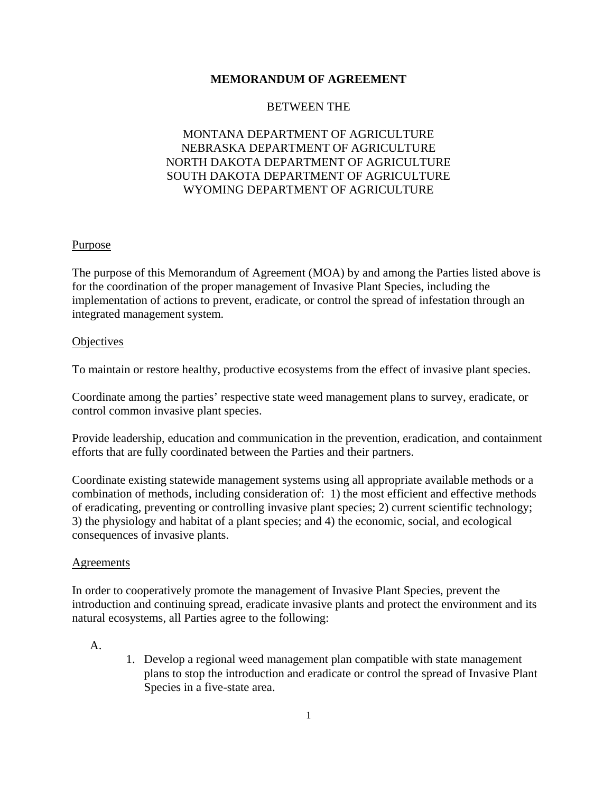### **MEMORANDUM OF AGREEMENT**

#### BETWEEN THE

## MONTANA DEPARTMENT OF AGRICULTURE NEBRASKA DEPARTMENT OF AGRICULTURE NORTH DAKOTA DEPARTMENT OF AGRICULTURE SOUTH DAKOTA DEPARTMENT OF AGRICULTURE WYOMING DEPARTMENT OF AGRICULTURE

#### **Purpose**

The purpose of this Memorandum of Agreement (MOA) by and among the Parties listed above is for the coordination of the proper management of Invasive Plant Species, including the implementation of actions to prevent, eradicate, or control the spread of infestation through an integrated management system.

#### **Objectives**

To maintain or restore healthy, productive ecosystems from the effect of invasive plant species.

Coordinate among the parties' respective state weed management plans to survey, eradicate, or control common invasive plant species.

Provide leadership, education and communication in the prevention, eradication, and containment efforts that are fully coordinated between the Parties and their partners.

Coordinate existing statewide management systems using all appropriate available methods or a combination of methods, including consideration of: 1) the most efficient and effective methods of eradicating, preventing or controlling invasive plant species; 2) current scientific technology; 3) the physiology and habitat of a plant species; and 4) the economic, social, and ecological consequences of invasive plants.

#### Agreements

In order to cooperatively promote the management of Invasive Plant Species, prevent the introduction and continuing spread, eradicate invasive plants and protect the environment and its natural ecosystems, all Parties agree to the following:

#### A.

1. Develop a regional weed management plan compatible with state management plans to stop the introduction and eradicate or control the spread of Invasive Plant Species in a five-state area.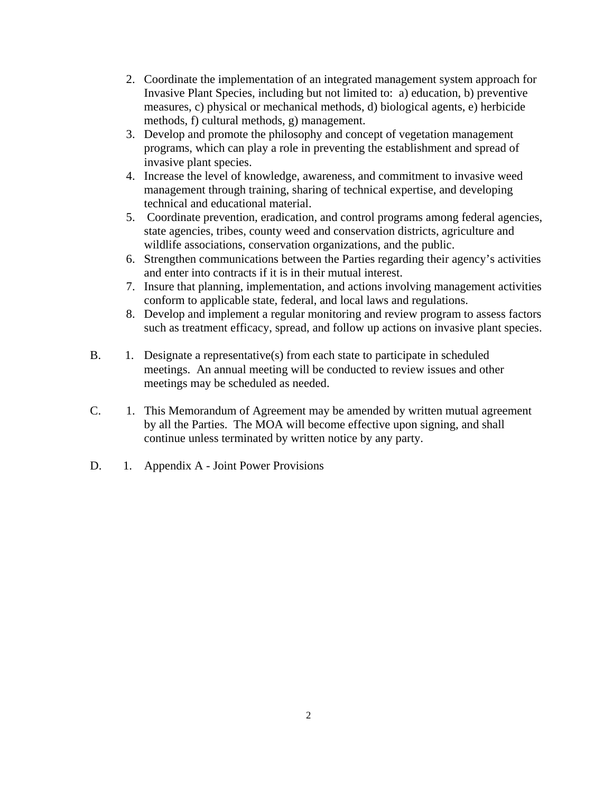- 2. Coordinate the implementation of an integrated management system approach for Invasive Plant Species, including but not limited to: a) education, b) preventive measures, c) physical or mechanical methods, d) biological agents, e) herbicide methods, f) cultural methods, g) management.
- 3. Develop and promote the philosophy and concept of vegetation management programs, which can play a role in preventing the establishment and spread of invasive plant species.
- 4. Increase the level of knowledge, awareness, and commitment to invasive weed management through training, sharing of technical expertise, and developing technical and educational material.
- 5. Coordinate prevention, eradication, and control programs among federal agencies, state agencies, tribes, county weed and conservation districts, agriculture and wildlife associations, conservation organizations, and the public.
- 6. Strengthen communications between the Parties regarding their agency's activities and enter into contracts if it is in their mutual interest.
- 7. Insure that planning, implementation, and actions involving management activities conform to applicable state, federal, and local laws and regulations.
- 8. Develop and implement a regular monitoring and review program to assess factors such as treatment efficacy, spread, and follow up actions on invasive plant species.
- B. 1. Designate a representative(s) from each state to participate in scheduled meetings. An annual meeting will be conducted to review issues and other meetings may be scheduled as needed.
- C. 1. This Memorandum of Agreement may be amended by written mutual agreement by all the Parties. The MOA will become effective upon signing, and shall continue unless terminated by written notice by any party.
- D. 1. Appendix A Joint Power Provisions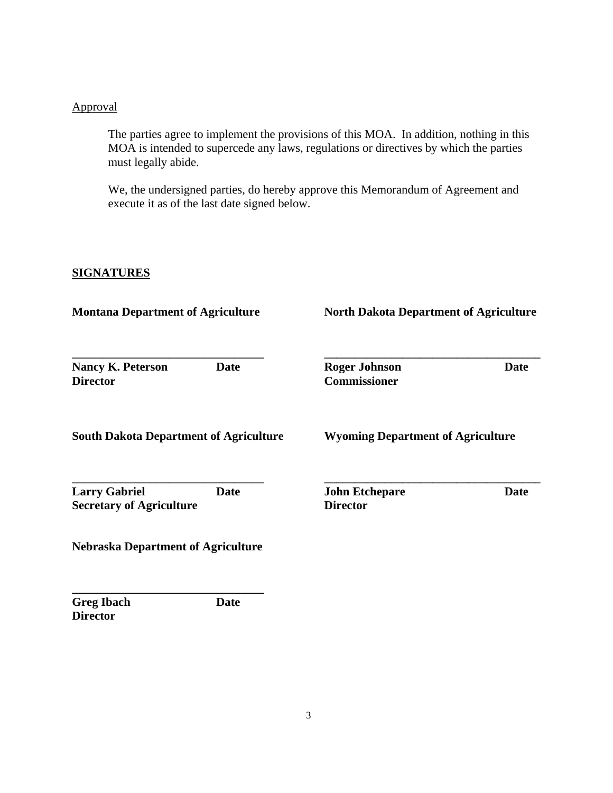# Approval

The parties agree to implement the provisions of this MOA. In addition, nothing in this MOA is intended to supercede any laws, regulations or directives by which the parties must legally abide.

We, the undersigned parties, do hereby approve this Memorandum of Agreement and execute it as of the last date signed below.

# **SIGNATURES**

| <b>Montana Department of Agriculture</b>                        | <b>North Dakota Department of Agriculture</b>           |
|-----------------------------------------------------------------|---------------------------------------------------------|
| <b>Date</b><br><b>Nancy K. Peterson</b><br><b>Director</b>      | <b>Roger Johnson</b><br>Date<br><b>Commissioner</b>     |
| <b>South Dakota Department of Agriculture</b>                   | <b>Wyoming Department of Agriculture</b>                |
| <b>Larry Gabriel</b><br>Date<br><b>Secretary of Agriculture</b> | <b>John Etchepare</b><br><b>Date</b><br><b>Director</b> |
| <b>Nebraska Department of Agriculture</b>                       |                                                         |
| <b>Greg Ibach</b><br><b>Date</b><br><b>Director</b>             |                                                         |